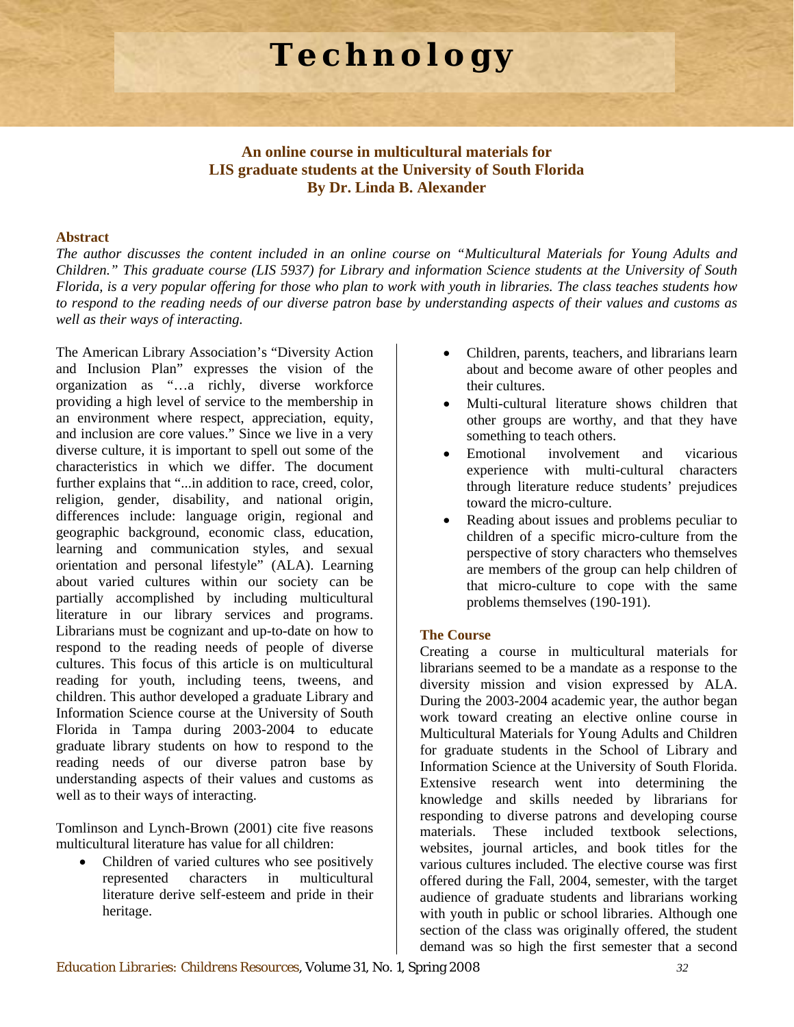# **Technology**

# **An online course in multicultural materials for LIS graduate students at the University of South Florida By Dr. Linda B. Alexander**

#### **Abstract**

*The author discusses the content included in an online course on "Multicultural Materials for Young Adults and Children." This graduate course (LIS 5937) for Library and information Science students at the University of South Florida, is a very popular offering for those who plan to work with youth in libraries. The class teaches students how to respond to the reading needs of our diverse patron base by understanding aspects of their values and customs as well as their ways of interacting.* 

The American Library Association's "Diversity Action and Inclusion Plan" expresses the vision of the organization as "…a richly, diverse workforce providing a high level of service to the membership in an environment where respect, appreciation, equity, and inclusion are core values." Since we live in a very diverse culture, it is important to spell out some of the characteristics in which we differ. The document further explains that "...in addition to race, creed, color, religion, gender, disability, and national origin, differences include: language origin, regional and geographic background, economic class, education, learning and communication styles, and sexual orientation and personal lifestyle" (ALA). Learning about varied cultures within our society can be partially accomplished by including multicultural literature in our library services and programs. Librarians must be cognizant and up-to-date on how to respond to the reading needs of people of diverse cultures. This focus of this article is on multicultural reading for youth, including teens, tweens, and children. This author developed a graduate Library and Information Science course at the University of South Florida in Tampa during 2003-2004 to educate graduate library students on how to respond to the reading needs of our diverse patron base by understanding aspects of their values and customs as well as to their ways of interacting.

Tomlinson and Lynch-Brown (2001) cite five reasons multicultural literature has value for all children:

• Children of varied cultures who see positively represented characters in multicultural literature derive self-esteem and pride in their heritage.

- Children, parents, teachers, and librarians learn about and become aware of other peoples and their cultures.
- Multi-cultural literature shows children that other groups are worthy, and that they have something to teach others.
- Emotional involvement and vicarious experience with multi-cultural characters through literature reduce students' prejudices toward the micro-culture.
- Reading about issues and problems peculiar to children of a specific micro-culture from the perspective of story characters who themselves are members of the group can help children of that micro-culture to cope with the same problems themselves (190-191).

## **The Course**

Creating a course in multicultural materials for librarians seemed to be a mandate as a response to the diversity mission and vision expressed by ALA. During the 2003-2004 academic year, the author began work toward creating an elective online course in Multicultural Materials for Young Adults and Children for graduate students in the School of Library and Information Science at the University of South Florida. Extensive research went into determining the knowledge and skills needed by librarians for responding to diverse patrons and developing course materials. These included textbook selections, websites, journal articles, and book titles for the various cultures included. The elective course was first offered during the Fall, 2004, semester, with the target audience of graduate students and librarians working with youth in public or school libraries. Although one section of the class was originally offered, the student demand was so high the first semester that a second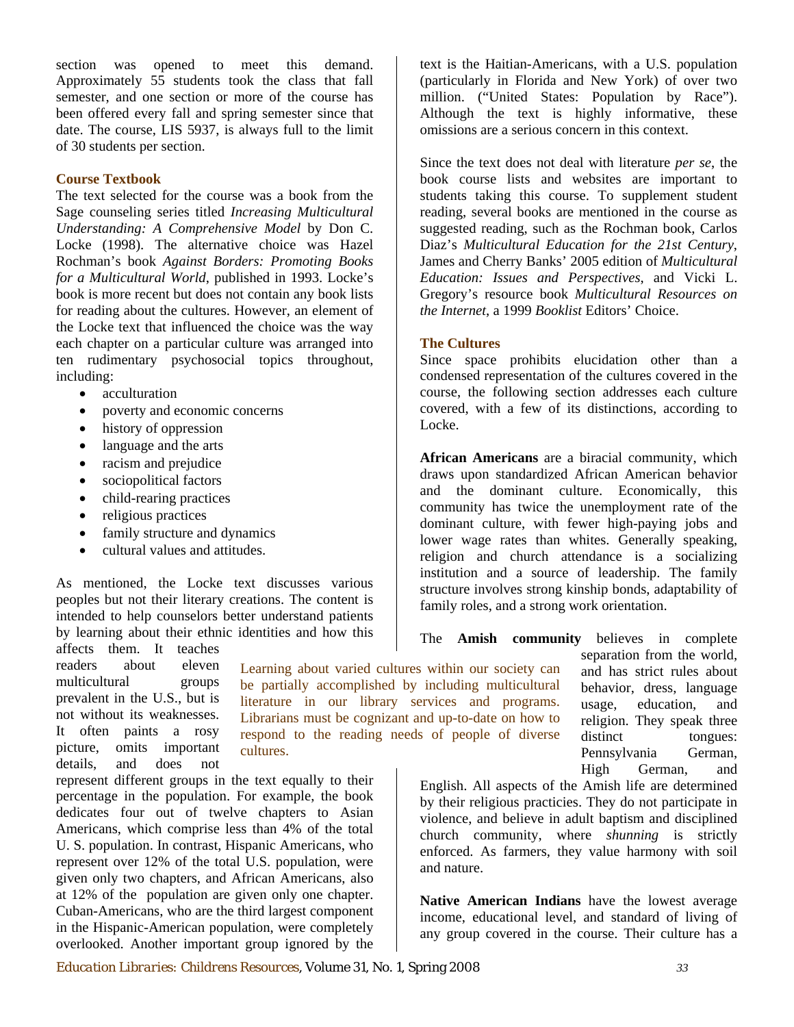section was opened to meet this demand. Approximately 55 students took the class that fall semester, and one section or more of the course has been offered every fall and spring semester since that date. The course, LIS 5937, is always full to the limit of 30 students per section.

## **Course Textbook**

The text selected for the course was a book from the Sage counseling series titled *Increasing Multicultural Understanding: A Comprehensive Model* by Don C. Locke (1998). The alternative choice was Hazel Rochman's book *Against Borders: Promoting Books for a Multicultural World*, published in 1993. Locke's book is more recent but does not contain any book lists for reading about the cultures. However, an element of the Locke text that influenced the choice was the way each chapter on a particular culture was arranged into ten rudimentary psychosocial topics throughout, including:

- acculturation
- poverty and economic concerns
- history of oppression
- language and the arts
- racism and prejudice
- sociopolitical factors
- child-rearing practices
- religious practices
- family structure and dynamics
- cultural values and attitudes.

As mentioned, the Locke text discusses various peoples but not their literary creations. The content is intended to help counselors better understand patients by learning about their ethnic identities and how this

affects them. It teaches readers about eleven multicultural groups prevalent in the U.S., but is not without its weaknesses. It often paints a rosy picture, omits important details, and does not

Learning about varied cultures within our society can be partially accomplished by including multicultural literature in our library services and programs. Librarians must be cognizant and up-to-date on how to respond to the reading needs of people of diverse cultures.

represent different groups in the text equally to their percentage in the population. For example, the book dedicates four out of twelve chapters to Asian Americans, which comprise less than 4% of the total U. S. population. In contrast, Hispanic Americans, who represent over 12% of the total U.S. population, were given only two chapters, and African Americans, also at 12% of the population are given only one chapter. Cuban-Americans, who are the third largest component in the Hispanic-American population, were completely overlooked. Another important group ignored by the text is the Haitian-Americans, with a U.S. population (particularly in Florida and New York) of over two million. ("United States: Population by Race"). Although the text is highly informative, these omissions are a serious concern in this context.

Since the text does not deal with literature *per se*, the book course lists and websites are important to students taking this course. To supplement student reading, several books are mentioned in the course as suggested reading, such as the Rochman book, Carlos Diaz's *Multicultural Education for the 21st Century*, James and Cherry Banks' 2005 edition of *Multicultural Education: Issues and Perspectives*, and Vicki L. Gregory's resource book *Multicultural Resources on the Internet*, a 1999 *Booklist* Editors' Choice.

#### **The Cultures**

Since space prohibits elucidation other than a condensed representation of the cultures covered in the course, the following section addresses each culture covered, with a few of its distinctions, according to Locke.

**African Americans** are a biracial community, which draws upon standardized African American behavior and the dominant culture. Economically, this community has twice the unemployment rate of the dominant culture, with fewer high-paying jobs and lower wage rates than whites. Generally speaking, religion and church attendance is a socializing institution and a source of leadership. The family structure involves strong kinship bonds, adaptability of family roles, and a strong work orientation.

The **Amish community** believes in complete

separation from the world, and has strict rules about behavior, dress, language usage, education, and religion. They speak three distinct tongues: Pennsylvania German, High German, and

English. All aspects of the Amish life are determined by their religious practicies. They do not participate in violence, and believe in adult baptism and disciplined church community, where *shunning* is strictly enforced. As farmers, they value harmony with soil and nature.

**Native American Indians** have the lowest average income, educational level, and standard of living of any group covered in the course. Their culture has a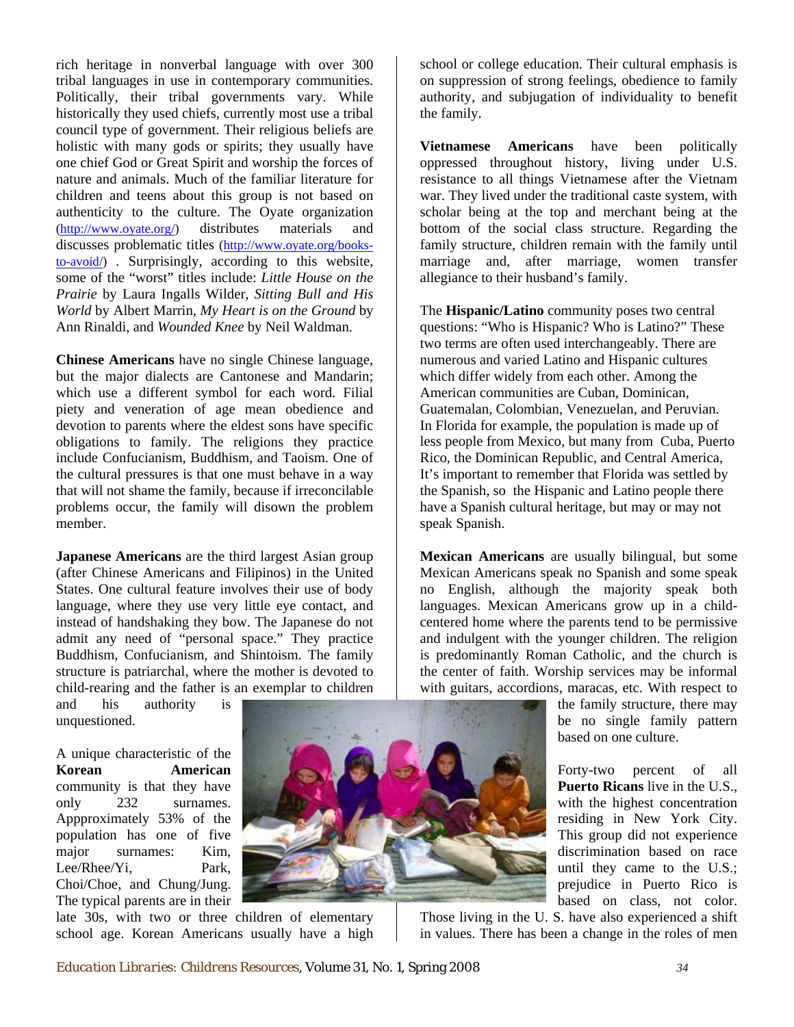rich heritage in nonverbal language with over 300 tribal languages in use in contemporary communities. Politically, their tribal governments vary. While historically they used chiefs, currently most use a tribal council type of government. Their religious beliefs are holistic with many gods or spirits; they usually have one chief God or Great Spirit and worship the forces of nature and animals. Much of the familiar literature for children and teens about this group is not based on authenticity to the culture. The Oyate organization [\(http://www.oyate.org/\)](http://www.oyate.org/) distributes materials and discusses problematic titles [\(http://www.oyate.org/books](http://www.oyate.org/books-to-avoid/)[to-avoid/](http://www.oyate.org/books-to-avoid/)) . Surprisingly, according to this website, some of the "worst" titles include: *Little House on the Prairie* by Laura Ingalls Wilder, *Sitting Bull and His World* by Albert Marrin, *My Heart is on the Ground* by Ann Rinaldi, and *Wounded Knee* by Neil Waldman.

**Chinese Americans** have no single Chinese language, but the major dialects are Cantonese and Mandarin; which use a different symbol for each word. Filial piety and veneration of age mean obedience and devotion to parents where the eldest sons have specific obligations to family. The religions they practice include Confucianism, Buddhism, and Taoism. One of the cultural pressures is that one must behave in a way that will not shame the family, because if irreconcilable problems occur, the family will disown the problem member.

**Japanese Americans** are the third largest Asian group (after Chinese Americans and Filipinos) in the United States. One cultural feature involves their use of body language, where they use very little eye contact, and instead of handshaking they bow. The Japanese do not admit any need of "personal space." They practice Buddhism, Confucianism, and Shintoism. The family structure is patriarchal, where the mother is devoted to child-rearing and the father is an exemplar to children

and his authority is unquestioned.

A unique characteristic of the **Korean American**  community is that they have only 232 surnames. Appproximately 53% of the population has one of five major surnames: Kim, Lee/Rhee/Yi, Park, Choi/Choe, and Chung/Jung. The typical parents are in their



late 30s, with two or three children of elementary school age. Korean Americans usually have a high school or college education. Their cultural emphasis is on suppression of strong feelings, obedience to family authority, and subjugation of individuality to benefit the family.

**Vietnamese Americans** have been politically oppressed throughout history, living under U.S. resistance to all things Vietnamese after the Vietnam war. They lived under the traditional caste system, with scholar being at the top and merchant being at the bottom of the social class structure. Regarding the family structure, children remain with the family until marriage and, after marriage, women transfer allegiance to their husband's family.

The **Hispanic/Latino** community poses two central questions: "Who is Hispanic? Who is Latino?" These two terms are often used interchangeably. There are numerous and varied Latino and Hispanic cultures which differ widely from each other. Among the American communities are Cuban, Dominican, Guatemalan, Colombian, Venezuelan, and Peruvian. In Florida for example, the population is made up of less people from Mexico, but many from Cuba, Puerto Rico, the Dominican Republic, and Central America, It's important to remember that Florida was settled by the Spanish, so the Hispanic and Latino people there have a Spanish cultural heritage, but may or may not speak Spanish.

**Mexican Americans** are usually bilingual, but some Mexican Americans speak no Spanish and some speak no English, although the majority speak both languages. Mexican Americans grow up in a childcentered home where the parents tend to be permissive and indulgent with the younger children. The religion is predominantly Roman Catholic, and the church is the center of faith. Worship services may be informal with guitars, accordions, maracas, etc. With respect to

> the family structure, there may be no single family pattern based on one culture.

> Forty-two percent of all **Puerto Ricans** live in the U.S., with the highest concentration residing in New York City. This group did not experience discrimination based on race until they came to the U.S.; prejudice in Puerto Rico is based on class, not color.

Those living in the U. S. have also experienced a shift in values. There has been a change in the roles of men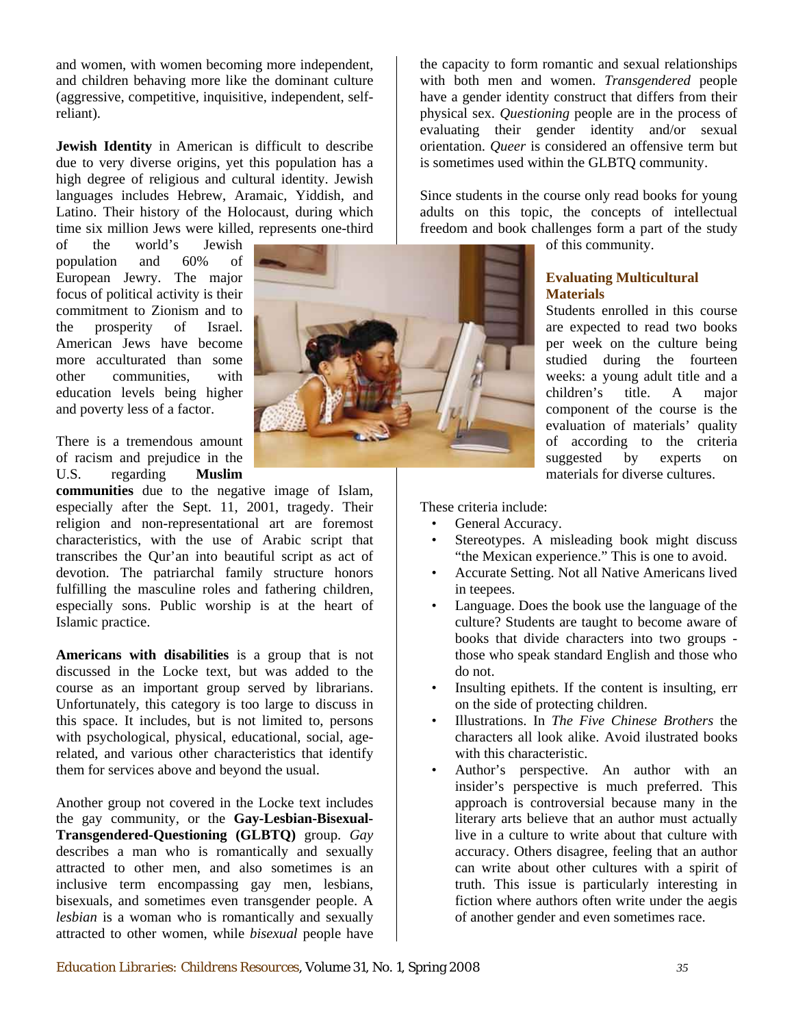and women, with women becoming more independent, and children behaving more like the dominant culture (aggressive, competitive, inquisitive, independent, selfreliant).

**Jewish Identity** in American is difficult to describe due to very diverse origins, yet this population has a high degree of religious and cultural identity. Jewish languages includes Hebrew, Aramaic, Yiddish, and Latino. Their history of the Holocaust, during which time six million Jews were killed, represents one-third

of the world's Jewish population and 60% of European Jewry. The major focus of political activity is their commitment to Zionism and to the prosperity of Israel. American Jews have become more acculturated than some other communities, with education levels being higher and poverty less of a factor.

There is a tremendous amount of racism and prejudice in the U.S. regarding **Muslim** 

**communities** due to the negative image of Islam, especially after the Sept. 11, 2001, tragedy. Their religion and non-representational art are foremost characteristics, with the use of Arabic script that transcribes the Qur'an into beautiful script as act of devotion. The patriarchal family structure honors fulfilling the masculine roles and fathering children, especially sons. Public worship is at the heart of Islamic practice.

related, and various other characteristics that identify them for services above and beyond the usual. **Americans with disabilities** is a group that is not discussed in the Locke text, but was added to the course as an important group served by librarians. Unfortunately, this category is too large to discuss in this space. It includes, but is not limited to, persons with psychological, physical, educational, social, age-

Another group not covered in the Locke text includes the gay community, or the **Gay-Lesbian-Bisexual-Transgendered-Questioning (GLBTQ)** group. *Gay* describes a man who is romantically and sexually attracted to other men, and also sometimes is an inclusive term encompassing gay men, lesbians, bisexuals, and sometimes even transgender people. A *lesbian* is a woman who is romantically and sexually attracted to other women, while *bisexual* people have



freedom and book challenges form a part of the study Since students in the course only read books for young adults on this topic, the concepts of intellectual

of this community.

## **Evaluating Multicultural Materials**

xperts on materials for diverse cultures. Students enrolled in this course are expected to read two books per week on the culture being studied during the fourteen weeks: a young adult title and a children's title. A major component of the course is the evaluation of materials' quality of according to the criteria suggested by

These criteria include:

- General Accuracy.
- Stereotypes. A misleading book might discuss "the Mexican experience." This is one to avoid.
- Accurate Setting. Not all Native Americans lived in teepees.
- those who speak standard English and those who • Language. Does the book use the language of the culture? Students are taught to become aware of books that divide characters into two groups do not.
- Insulting epithets. If the content is insulting, err on the side of protecting children.
- characters all look alike. Avoid ilustrated books • Illustrations. In *The Five Chinese Brothers* the with this characteristic.
- fiction where authors often write under the aegis • Author's perspective. An author with an insider's perspective is much preferred. This approach is controversial because many in the literary arts believe that an author must actually live in a culture to write about that culture with accuracy. Others disagree, feeling that an author can write about other cultures with a spirit of truth. This issue is particularly interesting in of another gender and even sometimes race.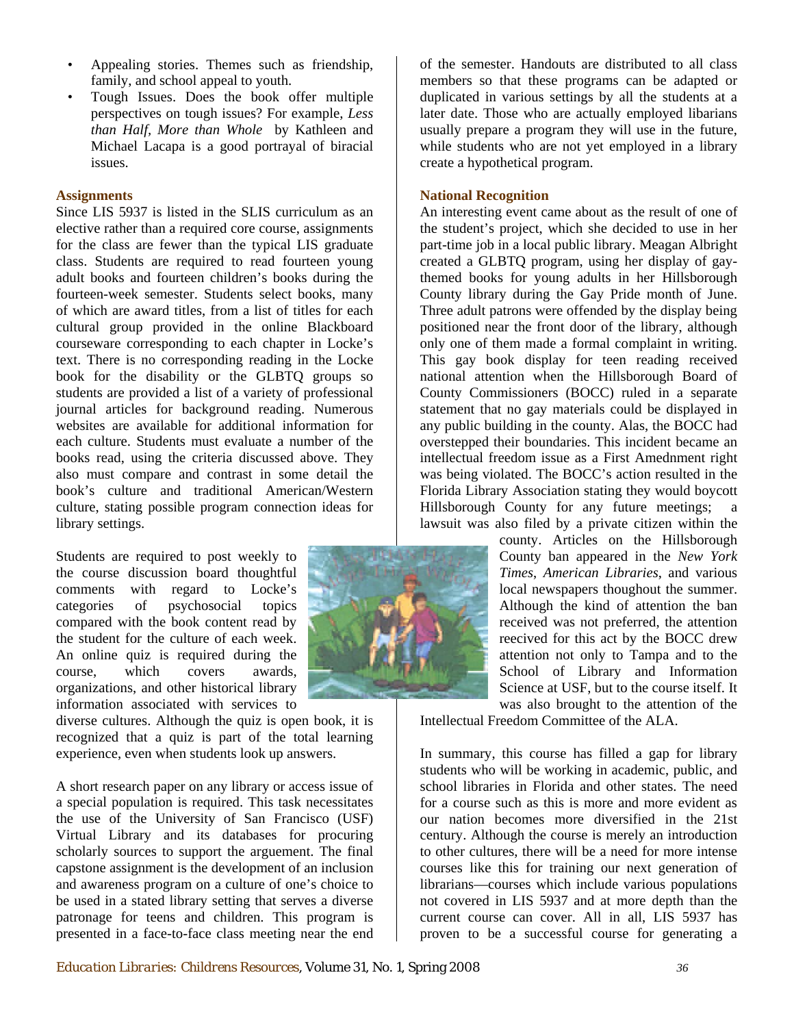- Appealing stories. Themes such as friendship, family, and school appeal to youth.
- Tough Issues. Does the book offer multiple perspectives on tough issues? For example, *Less than Half, More than Whole* by Kathleen and Michael Lacapa is a good portrayal of biracial issues.

#### **Assignments**

book's culture and traditional American/Western culture, stating possible program connection ideas for Since LIS 5937 is listed in the SLIS curriculum as an elective rather than a required core course, assignments for the class are fewer than the typical LIS graduate class. Students are required to read fourteen young adult books and fourteen children's books during the fourteen-week semester. Students select books, many of which are award titles, from a list of titles for each cultural group provided in the online Blackboard courseware corresponding to each chapter in Locke's text. There is no corresponding reading in the Locke book for the disability or the GLBTQ groups so students are provided a list of a variety of professional journal articles for background reading. Numerous websites are available for additional information for each culture. Students must evaluate a number of the books read, using the criteria discussed above. They also must compare and contrast in some detail the library settings.

Students are required to post weekly to the course discussion board thoughtful comments with regard to Locke's categories of psychosocial topics compared with the book content read by the student for the culture of each week. An online quiz is required during the course, which covers awards, organizations, and other historical library information associated with services to

diverse cultures. Although the quiz is open book, it is recognized that a quiz is part of the total learning experience, even when students look up answers.

A short research paper on any library or access issue of a special population is required. This task necessitates the use of the University of San Francisco (USF) Virtual Library and its databases for procuring scholarly sources to support the arguement. The final capstone assignment is the development of an inclusion and awareness program on a culture of one's choice to be used in a stated library setting that serves a diverse patronage for teens and children. This program is presented in a face-to-face class meeting near the end



usually prepare a program they will use in the future, while students who are not yet employed in a library create a hypothetical program. of the semester. Handouts are distributed to all class members so that these programs can be adapted or duplicated in various settings by all the students at a later date. Those who are actually employed libarians

### **National Recognition**

Hillsborough County for any future meetings; a An interesting event came about as the result of one of the student's project, which she decided to use in her part-time job in a local public library. Meagan Albright created a GLBTQ program, using her display of gaythemed books for young adults in her Hillsborough County library during the Gay Pride month of June. Three adult patrons were offended by the display being positioned near the front door of the library, although only one of them made a formal complaint in writing. This gay book display for teen reading received national attention when the Hillsborough Board of County Commissioners (BOCC) ruled in a separate statement that no gay materials could be displayed in any public building in the county. Alas, the BOCC had overstepped their boundaries. This incident became an intellectual freedom issue as a First Amednment right was being violated. The BOCC's action resulted in the Florida Library Association stating they would boycott lawsuit was also filed by a private citizen within the

> Science at USF, but to the course itself. It was also brought to the attention of the county. Articles on the Hillsborough County ban appeared in the *New York Times*, *American Libraries*, and various local newspapers thoughout the summer. Although the kind of attention the ban received was not preferred, the attention reecived for this act by the BOCC drew attention not only to Tampa and to the School of Library and Information

Intellectual Freedom Committee of the ALA.

proven to be a successful course for generating a In summary, this course has filled a gap for library students who will be working in academic, public, and school libraries in Florida and other states. The need for a course such as this is more and more evident as our nation becomes more diversified in the 21st century. Although the course is merely an introduction to other cultures, there will be a need for more intense courses like this for training our next generation of librarians—courses which include various populations not covered in LIS 5937 and at more depth than the current course can cover. All in all, LIS 5937 has